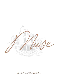

*Cocktail and Wine Selection*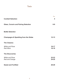# *Index*

| <b>Cocktail Selection</b>                       | Page<br>4              |
|-------------------------------------------------|------------------------|
| <b>Glass, Coravin and Pairing Selection</b>     | $6-9$                  |
| <b>Bottle Selection</b>                         |                        |
| <b>Champagne &amp; Sparkling from the Globe</b> | $12 - 13$              |
| <b>The Classics</b>                             |                        |
| <b>White and Rose</b><br><b>Red Wine</b>        | $16 - 17$<br>$18 - 19$ |
| <b>The Discoveries</b>                          |                        |
| <b>White and Rose</b><br><b>Red and Orange</b>  | $22 - 23$<br>$24 - 25$ |
| <b>Sweet and Fortified</b>                      | $28 - 29$              |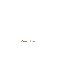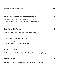| <b>Muse Gin or Vodka Martini</b>                                                               | Price<br>15 |
|------------------------------------------------------------------------------------------------|-------------|
| <b>Yorkshire Rhubarb and Blood Orange Spritz</b>                                               | 15          |
| Yorkshire Rhubarb Juice, Blood Orange Syrup,<br>RinQuinQuin, Londino Rose Vermouth, Soda Water |             |
|                                                                                                |             |
| <b>Strawberry Milk Punch</b>                                                                   | 15          |
| Bacardi Rum, Rose Vermouth, Strawberry Syrup, Milk                                             |             |
| <b>Lovage and Black Olive Martini</b>                                                          | 15          |
| Broken Clock Vodka, Fera Lovage Destillet,<br><b>Black Olive Infused White Vermouth</b>        |             |
| <b>Truffle Boulevardier</b>                                                                    | 19          |
| Bullet Bourbon, Truffle Infused Londinio Red Vermouth, Campari                                 |             |
| <b>Muse Kir Royal</b>                                                                          | 19          |
|                                                                                                |             |

*1er Cru, "Cuvée Éclat", Cossy, Tom's Blackcurrant Syrup*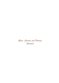*Glass, Coravin and Pairing Selection*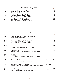| Vintage   | <b>Champagne &amp; Sparkling</b>                                    | Price |
|-----------|---------------------------------------------------------------------|-------|
| <b>NV</b> | Langham Estate, Brut Rosé<br>Dorset, England                        | 16    |
| <b>NV</b> | 1er Cru, "Cuvée Éclat" - Brut<br>Francis Cossy, Champagne, France   | 19    |
| 2016      | "Les Couarres" - Extra-Brut<br>Chartogne Taillet, Champagne, France | 28    |

| Vintage | <b>White</b>                                                                               |           | Price           |
|---------|--------------------------------------------------------------------------------------------|-----------|-----------------|
| 2019    | Rías Baixas DO, "Barbuntin" Albarino<br>Quinta de Couselo Galicia, Spain                   |           | 7.5             |
| 2017    | Sauvignon Blanc, "In Sollidum"<br>Domaine de Bellevue, Loire, France                       |           | 10              |
| 2020    | Riesling<br>Weingut Wittmann, Rheinhessen, Germany                                         |           | 11              |
| 2018    | "Vigna Lapillo",<br>Lacryma Christi Bianco, Sorrentino, Campania, Italy                    |           | 12 <sup>°</sup> |
| 2019    | Chablis<br>Domaine Moreau-Naudet, Yonne, Burgundy, France                                  |           | 14              |
| 2014    | Gruener Veltliner, Losling<br>Weingut Clemens Strobl, Wagram, Austria                      | (Coravin) | 24              |
| 2019    | Meursault 1er Cru "Caillerets"<br>Domaine F. & L. Pillot, Côte de Beaune, Burgundy, France | (Coravin) | 30              |
| 2020    | Chardonnay<br>Hudson, Los Carneros, Napa Valley, USA                                       | (Coravin) | 35              |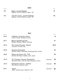| Vintage | <b>Sake</b>                                                              | Price |
|---------|--------------------------------------------------------------------------|-------|
| NV.     | Nigori Junmai Daiginjo<br>Keigetsu, Kōchi Prefecture, Japan - NV         | 11    |
| NV.     | "Gin-No-Yume", Junmai Daiginjo<br>Keigetsu, Kōchi Prefecture, Japan - NV | 12    |

| Vintage | Red                                                                              |           | Price |
|---------|----------------------------------------------------------------------------------|-----------|-------|
| 2015    | Château Lamarche-Canon<br>Cânon-Fronsac, Bordeaux France                         |           | 8     |
| 2017    | <b>Blauer Spaetburgunder</b><br>Weingut Ziereisen, Baden, Germany                |           | 11    |
| 2019    | IGT Costa Toscana, "Kepos"<br>Ampeleia, Tuscany, Italy                           |           | 12.5  |
| 2018    | Deutsch Schuetzen<br>Wachter Wielser, Eisenberg, Suedburgenland, Austria         |           | 13    |
| 2020    | Ribera del Duero DO, "PSI"<br>Dominio de Pingus, Castilla y León, Spain          |           | 15    |
| 2015    | "En Champs" Gevrey Chambertin<br>Marchand-Tawse, Côte de Nuits, Burgundy, France | (Coravin) | 32    |
| 2013    | Barbaresco DOCG, "Gallina"<br>Piero Busso, Piedmont, Italy                       | (Coravin) | 34    |
| 2017    | Syrah<br>Lillian, Central Coast, California, USA                                 | (Coravin) | 40    |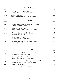| Vintage   | Rosé & Orange                                                                      | Price |
|-----------|------------------------------------------------------------------------------------|-------|
| 2020      | Touraine, "Les Cabotines"<br>Domaine Joël Delaunay, Loire, France                  | 6     |
| 2016      | Libre, Maceration<br>UGO, Domaine Guiradel, Jurancon, France                       | 22    |
| Vintage   | <b>Sweet</b>                                                                       | Price |
| 2017      | Recioto Della Valpolicella DOCG, "Tesauro"<br>Cantina Valpantena, Veneto, Italy    | 11    |
| 2018      | Jurançon, "Clos Thou"<br>Henri Lapouble-Laplace, South-West, France                | 14    |
| 2013      | Château Coutet, 1er Cru Classé<br>Barsac, Bordeaux, France                         | 15    |
| 2011      | Tokaji Aszú 5 Puttonyos<br>Disznókő Winery, Tokaj, Hungary                         | 18    |
| 2003      | Norheimer Dellchen, Riesling Auslese<br>Doennhoff, Nahe, Germany                   | 20    |
|           |                                                                                    |       |
| Vintage   | <b>Fortified</b>                                                                   | Price |
| <b>NV</b> | Manzanilla de Sanlúcar, "Papirusa"<br>Bodega Lustau, Andalucia, Spain              | 6     |
| <b>NV</b> | Oloroso, "La Cigarrera"<br>Bodega La Cigarrera, Andalucia, Spain                   | 10    |
| <b>NV</b> | Jerez-Xérès-Sherry DO, "Apostoles" VORS<br>Bodega Gonzalez Byass, Andalucia, Spain | 16    |
| 1992      | Madeira, Malvasia<br>Pereira d'Oliveira, Madeira, Portugal                         | 30    |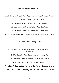## *Discovery Wine Pairing - £85*

*2019, Grüner Veltliner, Spitzer Graben, Muthenthaler, Wachau, Austria 2021, Gratitud, Cosmic, Catalunya, Spain 2017, Spaetburgunder, \* Holger Koch, Baden, Germany 2020, Mullineux, Old Vines White, Swartland, South Africa 2018, Rosso di Montalcino, Fonterenza, Tuscany, Italy 2020, "Récolte Cécile", Philippe Balivet, Bugey Cerdon, Savoie, France*

## *Discovered Wine Pairing - £190*

*2017, Himmelspfad, Silvaner, GG, Weingut Rudolf May, Framkem, Germany* 

*2018, Silex, Domaine Didier Dagueneau, Loire Valley, France*

*2019, Felsen II, Christian Tschida, Neusiedlersee. Austria*

*2019, Chardonnay, PlumpJack, Napa Valley, USA* 

*1996, Léoville Barton, 2ème Cru Classé. Saint Julien, Bordeaux, France*

*2010, Chateau Lafaurie-Peyraguey, 1er Cru Classé, Sauternes, France*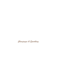*Champagne & Sparkling*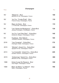| <b>NV</b> | "Réserve" - Brut<br>Bérêche et Fils, Champagne, France                         | 100 |
|-----------|--------------------------------------------------------------------------------|-----|
| NV.       | 1er Cru, "Cuvée Éclat" - Brut<br>Francis Cossy, Champagne, France              | 110 |
| <b>NV</b> | <b>Blanc de Noirs - Brut</b><br>J. P Secondé, Champagne, France                | 115 |
| <b>NV</b> | "Les Vignes de Montgueux" - Extra-Brut<br>Jacques Lassaigne, Champagne, France | 130 |
| <b>NV</b> | 1er Cru "Les Prés Dieu" - Extra-Brut<br>Guillaume Sergent, Champagne, France   | 140 |
| NV.       | Tryptique - Brut Nature<br>Timothée Stroebel, Champagne, France                | 165 |
| 2016      | "Les Couarres" - Extra-Brut<br>Chartogne Taillet, Champagne, France            | 170 |
| 2015      | "Minéral", Grand Cru - Extra-Brut<br>Agrapart & Fils, Champagne, France        | 220 |
| 2013      | "La Cocluette", Grand Cru - Extra-Brut<br>Aurélien Suenen, Champagne, France   | 245 |
| 2015      | "Ambonnay" Grand Cru - Extra Brut<br>Bérêche et Fils, Champagne, France        | 300 |
| 1996      | Extra Cuvee De Reserve - Brut<br>Paul Roger, Champagne, France                 | 330 |
| 1999      | Blanc de Blanc "Le Mesnil" - Brut<br>Salon, Champagne, France                  | 790 |

*Champagne*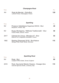| Vintage | <b>Champagne Rosé</b>                                                                | Price |
|---------|--------------------------------------------------------------------------------------|-------|
| NV.     | Rosé de Meunier - Extra-Brut<br>Laherte Frères, Champagne, France                    | 120   |
| Vintage | <b>Sparkling</b>                                                                     | Price |
| NV.     | Prosecco Valdobbiane Superiore DOCG - Brut<br>Borgoluce, Veneto, Italy               | 48    |
| NV.     | Bugey Montagnieu, "Méthode Traditionnelle" - Brut<br>Franck Peillot, Savoie, France  | 50    |
| 2017    | Crémant de Limoux, "Monsieur S" - Brut<br>Etienne Fort, Languedoc-Roussillon, France | 55    |
| 1992    | Riesling (Disgorged 2016) - Brut-Nature<br>Weingut Pèter Lauer, Mosel, Germany       | 115   |

| Vintage   | <b>Sparkling Rosé</b>                                                                      | Price |
|-----------|--------------------------------------------------------------------------------------------|-------|
| <b>NV</b> | Rosé - Brut<br>Langham Wine Estate, Dorset, England                                        | 80    |
| 2016      | Rosé, Spumante Metodo Classico - Dosagio Zero<br>Azienda Agricola Divella, Lombardy, Italy | 115   |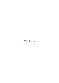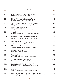| Vintage | <b>White</b>                                                                                               | Price |
|---------|------------------------------------------------------------------------------------------------------------|-------|
| 2019    | Rías Baixas DO, "Barbuntin" Albarino<br>Quinta de Couselo, Galicia, Spain                                  | 39    |
| 2018    | Mâcon-Villages "Mémoire du Terroir"<br>Domaine Joseph Burrier, Burgundy, France                            | 45    |
| 2016    | VDP Ortswein, "Qarzit" Riesling Trocken<br>Weingut Peter Jakob Künh, Rheingau, Germany                     | 62    |
| 2019    | Buteo, Grüner Veltliner<br>Weingut Michael Gindl, Weinviertel, Austria                                     | 65    |
| 2019    | Chablis<br>Domaine Moreau-Naudet, Yonne, Burgundy, France                                                  | 68    |
| 2020    | Sancerre Blanc, "Terre de Saint Louis"<br>Pascal & Nicolas Reverdy, Loire Valley, France                   | 70    |
| 2017    | <b>Wild Sauvignon</b><br>Greywacke, Marlborough, New Zealand                                               | 75    |
| 2019    | Chardonnay, Vom Opok<br>Alice and Rolland Tauss, Steirerland, Austria                                      | 78    |
| 2018    | Granite, Riesling<br>Marc Tempe, Alsace, France                                                            | 80    |
| 2018    | Vouvray Sec<br>Le Clos de la Maslerie, Vouvray, Loire Valley, France                                       | 88    |
| 2017    | Chablis 1er Cru, 'Vau de Vey'<br>Domaine des Hates, Burgundy, France                                       | 105   |
| 2020    | Pouilly Fuissé "Terroir de Pouilly"<br>Christophe Cordier, Mâconnais, Burgundy, France                     | 105   |
| 2020    | Viognier<br>Alban Vineyard, Central Coast, California, USA                                                 | 110   |
| 2017    | Beaune, 1er Cru, "Clos des Champs Pimont"<br>Domaine, Rappet Père & Fils, Côte de Beaune, Burgundy, France | 130   |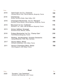| 2019 | Saint Aubin, 1er Cru, Charmois<br>Domaine Bruno Colin, Côte de Beaune, Burgundy, France            | 150 |
|------|----------------------------------------------------------------------------------------------------|-----|
| 2018 | Chardonnay<br>Schug, Carneros Estate, Napa Valley, USA                                             | 160 |
| 2016 | Chassagne-Montrachet, 1er Cru "Morgeot"<br>Domaine Vincent Morey, Côte de Beaune, Burgundy, France | 170 |
| 2019 | Meursault 1er Cru "Caillerets"<br>Domaine F. & L. Pillot, Côte de Beaune, Burgundy, France         | 175 |
| 2013 | Grüner Veltliner, Smaragd<br>Emmerich Knoll, Wachau, Austria                                       | 190 |
| 2018 | Puligny-Montrachet 1er Cru, 'Champ Gain'<br>Pernot Belicard, Burgundy, France                      | 210 |
| 2014 | Riesling, Jesuitengarten, Grosses Gewaechs<br>Georg Mosbacher, Forst, Pfalz, Germany               | 300 |
| 2017 | Saumur Blanc, Brézé<br>Domaine Guiberteau, Loire Valley, France                                    | 350 |
| 2011 | Saumur Champigny Blanc, Brézé<br>Clos Rougeard, Loire Valley, France                               | 700 |
|      |                                                                                                    |     |

| 2020 | Touraine, "Les Cabotines"            | 36 |
|------|--------------------------------------|----|
|      | Domaine Joël Delaunay, Loire, France |    |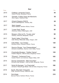| Vintage | Red                                                                                                | Price |
|---------|----------------------------------------------------------------------------------------------------|-------|
| 2015    | Château Lamarche-Canon<br>Cânon-Fronsac, Bordeaux France                                           | 45    |
| 2018    | Dolcetto. D'Alba, Vigna del Mandorlo<br>Elvio Cogno, Piedmont, Italy                               | 55    |
| 2017    | Chianti Classico DOCG<br>Rocca di Montegrossi, Tuscany, Italy                                      | 65    |
| 2017    | Saint Joseph<br>Pierre Gaillard, Northern Rhône, France                                            | 70    |
| 2017    | "Lower East" Syrah<br>Gramercy Cellars, Washington, USA                                            | 80    |
| 2015    | Morgon, Côte du Py, "Cuvée Julia"<br>Anthony Thévenet, Beaujolais, France                          | 90    |
| 2017    | "North Valley" Pinot Noir<br>Soter Winery, Willamette Valley, Oregon, USA                          | 95    |
| 2016    | Côte-Rôtie, "Les Triotes"<br>Domaine Garon, Northern Rhône, France                                 | 120   |
| 2017    | Saumur Rouge, "Les Chapaudaises"<br>Domaine Guiberteau, Saumur, Loire Valley, France               | 130   |
| 2015    | Chambolle-Musigny, "Vieilles Vignes"<br>Frédéric Magnien, Côte de Nuits, Burgundy, France          | 155   |
| 2018    | "Phoenix", Carbernet Franc<br>Hudson Ranch. Los Carneros, Nappa Valley, USA                        | 165   |
| 2014    | Gevrey Chambertin, "Mes Favorites"<br>Domaine Alain Burguet, Côte de Nuits, Burgundy, France       | 170   |
| 2017    | Nuits-St-Georges, "La Charmotte"<br>Domaine Thibault Liger-Belair, Côte de Nuits, Burgundy, France | 180   |
| 2018    | Syrah, Mountain Vineyards<br>Pride, Sonoma County, California, USA                                 | 195   |
| 2014    | Hermitage<br>Bernard Faurie, Northern Rhone, France                                                | 210   |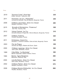| 2019 | "Sonoma Coast", Pinot Noir<br>Kistler, Sonoma, California, USA                            | 225 |
|------|-------------------------------------------------------------------------------------------|-----|
| 2011 | Pommard, 1er Cru, "Pézerolles"<br>Domaine de Montille, Côte de Beaune, Burgundy, France   | 250 |
| 2008 | Château Lascombes, 2ème Cru Classé<br>Margaux, Bordeaux, France                           | 280 |
| 2015 | Brunello di Montaclcino, "Podernovi"<br>San Polo. Tuscany, Italy                          | 300 |
| 2012 | Volnay Freimet, 1er Cru<br>Domaine Marquis d'Angerville, Côte de Beaune, Burgundy, France | 310 |
| 2007 | Château Trotanoy<br>Pomerol, Bordeaux, France                                             | 320 |
| 2011 | Echézeaux, Grand Cru<br>Domaine J. Confuron-Coteidot, Côte de Nuits, Burgundy, France     | 340 |
| 2003 | Flor de Pingus<br>Dominio de Pingus, Riebera del Duoro, Spain                             | 350 |
| 2000 | Château Lagrange, 3ème Cru Classé<br>Saint Julien, Bordeaux, France                       | 360 |
| 1999 | Côte-Rôtie, "La Mordorée"<br>Michel Chapoutier, Nothern Rhône, France                     | 390 |
| 1990 | Barolo, Vigna Margheria<br>Massolino, Piedmont, Italy                                     | 490 |
| 2000 | Léoville Barton, 2ème Cru Classé<br>Saint Julien, Bordeaux, France                        | 530 |
| 2002 | Château Palmer, 3ème Cru Classé<br>Margaux, Bordeaux, France                              | 570 |
| 2008 | Château Mouton-Rothschild, 1er Cru Classé<br>Pauillac, Bordeaux, France                   | 860 |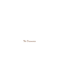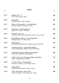*White*

| Vintage |                                                                                     | Price |
|---------|-------------------------------------------------------------------------------------|-------|
| 2017    | Ribeiro DO, "V"<br>Finca Viñoa, Galicia, Spain                                      | 50    |
| 2019    | Tokaji Dry<br>Disznókő Winery, Tokaj, Hungary                                       | 52    |
| 2017    | Côtes du Roussillon, "Les Glaciaires"<br>Domaine Gardies, Roussillon, France        | 54    |
| 2018    | "Eichbuck", Grauburgunder<br>Holger Koch, Baden, Germany                            | 55    |
| 2018    | "Granite", Sur Lie<br>Domaine de l'Ecu, Muscadet-Sèvre-et-mine, Loire, France       | 56    |
| 2018    | Rioja Blanco DOCa, "Las Tasugueras"<br>Bodegas Moraza, La Rioja, Spain              | 58    |
| 2018    | Chardonnay<br>Tokara Winery Stellenbosch, Western Cape, South Africa                | 60    |
| 2020    | "Rocking Horse", Cape White Blend<br>Thorne & Daughters, Western Cape, South Africa | 63    |
| 2018    | "Gimblett Gravels", Marsanne/Viognier<br>Trinity Hill, Hawkes Bay, New Zealand      | 68    |
| 2017    | Cullen Vineyard, Sauvignon Blanc-Semillon<br>Cullen, Margaret River, Australia      | 70    |
| 2018    | Vin De France, "Romorantin"<br>Domaine de Veilloux, Loire Valley, France            | 73    |
| 2020    | Argile Blanc<br>Domaine des Ardoisières, Savoie, France                             | 80    |
| 2016    | VDF Vermentino "Deci Dela"<br>Athénaïs de Béru, Yonne, Burgundy, France             | 90    |
|         |                                                                                     |       |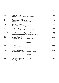| 2009 | Jurançon Sec<br>Domaine de Souch, Southwest, France                        | 108 |
|------|----------------------------------------------------------------------------|-----|
| 2019 | "Feuervogel", Silvaner<br>Weingut Keller, Rheinhessen, Germany             | 110 |
| 2016 | Anjou, "Ephata"<br>Clos de l'Élu, Loire Valley, France                     | 135 |
| 2017 | Chardonnay<br>Racine, Santa Rita Hills, California, USA                    | 165 |
| 2016 | Les Jardins de Babylone, Sec<br>Louis-Benjamin Dagueneau, Jurancon, France | 180 |
| 2018 | Le Vin Tranquille<br>Timothée Stroebel, Champagne, France                  | 260 |
|      | <b>Orange</b>                                                              |     |
| 2018 | Glück<br>Weingut Werlitsch, Styria, Austria                                | 110 |
| 2016 | Libre Maceration<br>UGO, Domaine Guiradel, Jurancon, France                | 135 |
| Rosé |                                                                            |     |
|      |                                                                            |     |

| 2018 | <b>IGP Macedoine "Pata Trava"</b> |  |
|------|-----------------------------------|--|
|      | Ktima Ligas, Greece               |  |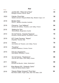| Vintage | Red                                                                                        | Price |
|---------|--------------------------------------------------------------------------------------------|-------|
| 2016    | Jumilia DO, "Altos de la Hoya"<br>Bodegas Olivares, Murcia, Spain                          | 35    |
| 2020    | Felicite, Pinot Noir<br>Newton Johnson Vineyard, Walker Bay, Western Cape, S.A             | 50    |
| 2018    | Modern Red<br>Plan B !, Western Australia, Australia                                       | 60    |
| 2018    | Cheverny, "Les Veilleurs"<br>Domaine de Veilloux, Touraine, Loire Valley, France           | 64    |
| 2018    | Waiting for Tom<br>Rennersistas, Burgenland, Austria                                       | 68    |
| 2014    | Vin de France, "Causse Toujours"<br>Domaine Causse Marines, Southwest, France              | 70    |
| 2019    | IGT Costa Toscana, "Kepos"<br>Ampeleia, Tuscany, Italy                                     | 75    |
| 2019    | Unum<br>Les Jardins de Theseiis, Loire Valley, France                                      | 78    |
| 2019    | "Faustine"<br>Domaine Abbatucci, Corsica, France                                           | 85    |
| 2015    | Clos du Jaugueyron<br>Haut-Médoc, Bordeaux, France                                         | 88    |
| 2018    | Vin de France, "Espérance"<br>Clos de l'Élu, Anjou, Loire Valley, France                   | 88    |
| 2011    | Gamay<br>Domaine de Beudon, Valais, Switzerland                                            | 90    |
| 2017    | Rías Baixas DO, "Goliardo Caino"<br>Forjas del Salnes, Galicia, Spain                      | 92    |
| 2016    | "Glacier Ridge Vineyard" Pinot Noir<br>Red Newt Cellars, Finger Lakes, New York State, USA | 94    |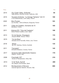| 2014 | Dry Creek Valley, Zinfandel<br>Nalle Winery, Sonoma County, California, USA              | 95  |
|------|------------------------------------------------------------------------------------------|-----|
| 2015 | Touraine-Amboise, "La Grange Tiphaine" Côt VV<br>C & D Delecheneau, Loire Valley, France | 100 |
| 2020 | Mon Poulain<br>Les Horrées, Côte de Beaune, Burgundy, France                             | 103 |
| 2011 | Côtes de Castillon, Domaine de l'A<br>Bordeaux, France                                   | 105 |
| 2011 | Arlanza DO, "Vina del Cadastro"<br>Olivier Riviére Castilla y León, Spain                | 108 |
| 2013 | Vin de Savoie, Chautagne<br>Jacques Maillet, Savoie, France                              | 115 |
| 2015 | "Cul de Brey"<br>Domaine de la Tournelle, Arbois, Jura, France                           | 125 |
| 2018 | Shiraz<br>By Farr, Geelong, Victoria, Australia                                          | 135 |
| 2011 | "Carcajolo"<br>Domaine Abbatucci, Corsica, France                                        | 145 |
| 2017 | Amarone della Valpolicella Classico<br>Allegrini, Veneto, Italy                          | 170 |
| 2008 | Franchetti, IGT<br>Tenuta di Passopisciaro, Sicily, Italy                                | 210 |
| 2014 | Vi de Taula, Sumoll<br>Els Jelepins, Alt Penedes, Spain                                  | 280 |
| 2012 | Montepulciano d'Abruzzo<br>Azienda Agricola Valentini. Abruzzo, Italy                    | 690 |
|      |                                                                                          |     |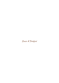*Sweer & Fortified*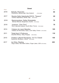| Vintage | <b>Sweet</b>                                                                                    | Price |
|---------|-------------------------------------------------------------------------------------------------|-------|
| 2018    | Botrytis, Pinot Gris<br>Greywacke, Marlborough, New Zealand<br>(375ml Bottle)                   | 60    |
| 2017    | Recioto Della Valpolicella DOCG, "Tesauro"<br>Cantina Valpantena, Veneto, Italy (500ml Bottle)  | 65    |
| 2018    | Beerenauslese, Gelber Muskateller<br>Michael Wenzel, Burgenland, Austria (375ml Bottle)         | 70    |
| 2018    | Jurançon, "Clos Thou"<br>Henri Lapouble-Laplace, South-West, France (750ml Bottle)              | 78    |
| 2014    | Coteaux dy Layon Beaulieu<br>Château de Pierre Bise, Anjou, Loire Valley, France (375ml Bottle) | 105   |
| 2011    | Tokaji Aszú 5 Puttonyos<br>Disznókő Winery, Tokaj, Hungary (500ml Bottle)                       | 118   |
| 2010    | Chateau Lafaurie-Peyraguey, 1er Cru Classé<br>Sauternes, Bordeaux, France (750ml Bottle)        | 150   |
| 2017    | Ice Wine, Riesling<br>Tango Oakes, Red Newt Cellars, Finger Lakes, USA (375ml Bottle)           | 220   |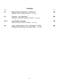| Vintage   | <b>Fortified</b>                                                                                  | Price |
|-----------|---------------------------------------------------------------------------------------------------|-------|
| <b>NV</b> | Manzanilla de Sanlúcar, "Papirusa"<br>Bodega Lustau, Andalucia, Spain (375ml Bottle)              | 52    |
| <b>NV</b> | Oloroso, "La Cigarrera"<br>Bodega La Cigarrera, Andalucia, Spain (750ml Bottle)                   | 60    |
| 2012      | Late Bottled Vintage<br>Quinta do Noval, Douro, Portugal (750ml Bottle)                           | 70    |
| <b>NV</b> | Jerez-Xérès-Sherry DO, "Apostoles" VORS<br>Bodega Gonzalez Byass, Andalucia, Spain (375mi Bottle) | 80    |